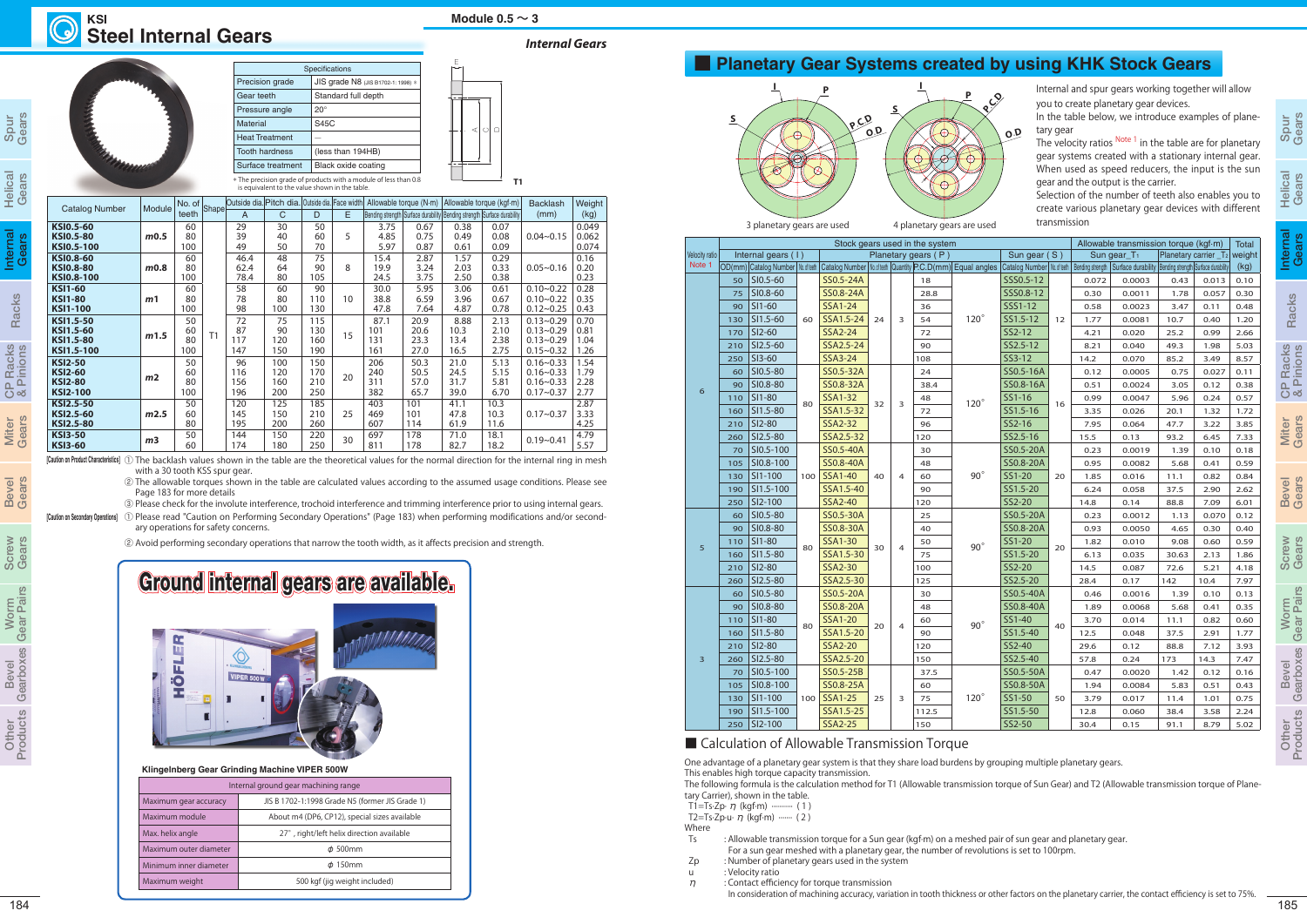## **Steel Internal Gears KSI Module**  $0.5 \sim 3$

|  | <b>Catalog Number</b> | Module         | No. of Shape<br>teeth |                | Outside dia. Pitch dia. Outside dia. Face width |     |     |    | Allowable torque $(N \cdot m)$ | Allowable torque (kgf-m) |                                                                         | <b>Backlash</b> | Weight        |       |
|--|-----------------------|----------------|-----------------------|----------------|-------------------------------------------------|-----|-----|----|--------------------------------|--------------------------|-------------------------------------------------------------------------|-----------------|---------------|-------|
|  |                       |                |                       |                | $\overline{A}$                                  | C   | D   | E  |                                |                          | Bending strength Surface durability Bending strength Surface durability |                 | (mm)          | (kg)  |
|  | <b>KSI0.5-60</b>      |                | 60                    |                | 29                                              | 30  | 50  |    | 3.75                           | 0.67                     | 0.38                                                                    | 0.07            |               | 0.049 |
|  | <b>KSI0.5-80</b>      | m0.5           | 80                    |                | 39                                              | 40  | 60  | 5  | 4.85                           | 0.75                     | 0.49                                                                    | 0.08            | $0.04 - 0.15$ | 0.062 |
|  | KSI0.5-100            |                | 100                   |                | 49                                              | 50  | 70  |    | 5.97                           | 0.87                     | 0.61                                                                    | 0.09            |               | 0.074 |
|  | <b>KSI0.8-60</b>      |                | 60                    |                | 46.4                                            | 48  | 75  |    | 15.4                           | 2.87                     | 1.57                                                                    | 0.29            |               | 0.16  |
|  | <b>KSI0.8-80</b>      | m0.8           | 80                    |                | 62.4                                            | 64  | 90  | 8  | 19.9                           | 3.24                     | 2.03                                                                    | 0.33            | $0.05 - 0.16$ | 0.20  |
|  | <b>KSI0.8-100</b>     |                | 100                   |                | 78.4                                            | 80  | 105 |    | 24.5                           | 3.75                     | 2.50                                                                    | 0.38            |               | 0.23  |
|  | <b>KSI1-60</b>        |                | 60                    |                | 58                                              | 60  | 90  |    | 30.0                           | 5.95                     | 3.06                                                                    | 0.61            | $0.10 - 0.22$ | 0.28  |
|  | <b>KSI1-80</b>        | m <sub>1</sub> | 80                    |                | 78                                              | 80  | 110 | 10 | 38.8                           | 6.59                     | 3.96                                                                    | 0.67            | $0.10 - 0.22$ | 0.35  |
|  | <b>KSI1-100</b>       |                | 100                   |                | 98                                              | 100 | 130 |    | 47.8                           | 7.64                     | 4.87                                                                    | 0.78            | $0.12 - 0.25$ | 0.43  |
|  | KSI1.5-50             |                | 50                    |                | 72                                              | 75  | 115 |    | 87.1                           | 20.9                     | 8.88                                                                    | 2.13            | $0.13 - 0.29$ | 0.70  |
|  | KSI1.5-60             | m1.5           | 60                    | T <sub>1</sub> | 87                                              | 90  | 130 | 15 | 101                            | 20.6                     | 10.3                                                                    | 2.10            | $0.13 - 0.29$ | 0.81  |
|  | KSI1.5-80             |                | 80                    |                | 117                                             | 120 | 160 |    | 131                            | 23.3                     | 13.4                                                                    | 2.38            | $0.13 - 0.29$ | 1.04  |
|  | KSI1.5-100            |                | 100                   |                | 147                                             | 150 | 190 |    | 161                            | 27.0                     | 16.5                                                                    | 2.75            | $0.15 - 0.32$ | 1.26  |
|  | <b>KSI2-50</b>        |                | 50                    |                | 96                                              | 100 | 150 |    | 206                            | 50.3                     | 21.0                                                                    | 5.13            | $0.16 - 0.33$ | 1.54  |
|  | <b>KSI2-60</b>        | m <sub>2</sub> | 60                    |                | 116                                             | 120 | 170 | 20 | 240                            | 50.5                     | 24.5                                                                    | 5.15            | $0.16 - 0.33$ | 1.79  |
|  | <b>KSI2-80</b>        |                | 80                    |                | 156                                             | 160 | 210 |    | 311                            | 57.0                     | 31.7                                                                    | 5.81            | $0.16 - 0.33$ | 2.28  |
|  | <b>KSI2-100</b>       |                | 100                   |                | 196                                             | 200 | 250 |    | 382                            | 65.7                     | 39.0                                                                    | 6.70            | $0.17 - 0.37$ | 2.77  |
|  | <b>KSI2.5-50</b>      |                | 50                    |                | 120                                             | 125 | 185 |    | 403                            | 101                      | 41.1                                                                    | 10.3            |               | 2.87  |
|  | KSI2.5-60             | m2.5           | 60                    |                | 145                                             | 150 | 210 | 25 | 469                            | 101                      | 47.8                                                                    | 10.3            | $0.17 - 0.37$ | 3.33  |
|  | KSI2.5-80             |                | 80                    |                | 195                                             | 200 | 260 |    | 607                            | 114                      | 61.9                                                                    | 11.6            |               | 4.25  |
|  | <b>KSI3-50</b>        |                | 50                    |                | 144                                             | 150 | 220 | 30 | 697                            | 178                      | 71.0                                                                    | 18.1            | $0.19 - 0.41$ | 4.79  |
|  | <b>KSI3-60</b>        | m <sub>3</sub> | 60                    |                | 174                                             | 180 | 250 |    | 811                            | 178                      | 82.7                                                                    | 18.2            |               | 5.57  |

## *Internal Gears*

## ■ **Planetary Gear Systems created by using KHK Stock Gears**



**[Caution on Product Characteristics]** ① The backlash values shown in the table are the theoretical values for the normal direction for the internal ring in mesh with a 30 tooth KSS spur gear.

② The allowable torques shown in the table are calculated values according to the assumed usage conditions. Please see Page 183 for more details

| <b>Specifications</b> |                                    |  |  |
|-----------------------|------------------------------------|--|--|
| Precision grade       | JIS grade N8 (JIS B1702-1: 1998) * |  |  |
| Gear teeth            | Standard full depth                |  |  |
| Pressure angle        | $20^{\circ}$                       |  |  |
| Material              | S45C                               |  |  |
| <b>Heat Treatment</b> |                                    |  |  |
| <b>Tooth hardness</b> | (less than 194HB)                  |  |  |
| Surface treatment     | Black oxide coating                |  |  |



is equivalent to the value shown in the table.

③ Please check for the involute interference, trochoid interference and trimming interference prior to using internal gears.

**[Caution on Secondary Operations]** ① Please read "Caution on Performing Secondary Operations" (Page 183) when performing modifications and/or secondary operations for safety concerns.

② Avoid performing secondary operations that narrow the tooth width, as it affects precision and strength.

The velocity ratios <sup>Note 1</sup> in the table are for planetary gear systems created with a stationary internal gear. When used as speed reducers, the input is the sun gear and the output is the carrier.

<sup>184</sup> <sup>185</sup>Spur Gears Helical Gears Internal Gears Racks CP Racks & Pinions Miter Gears Bevel Gears Screw Gears Worm Gear Pairs Bevel Gearboxes Other Products Spur Gears Helical Gears Racks CP Racks & Pinions Miter Gears Bevel Gears Screw Gears Worm Gear Pairs Bevel Gearboxes Other Products Internal Gears Velocity ratio Stock gears used in the system Internal gears (1)  $\vert$  Planetary gears (P) OD(mm) Catalog Number | No. of teeth | Catalog Number | No. of teeth | Quantity | P.C.D(mm) Equal ang 6  $50$  SI0.5-60 60 SS0.5-24A  $24 \mid 3$ 18 120° 210 SI2.5-60 SSA2.5-24 90 60 SI0.5-80 80 SS0.5-32A  $32 \mid 3$  $24$ 120° 160 SI1.5-80  $\mid$  <sup>ov</sup> SSA1.5-32  $\mid$  <sup>52</sup>  $\mid$  <sup>5</sup> 72 70 SI0.5-100 100 SS0.5-40A  $40 \mid 4$ 30  $90^{\circ}$ 105 SI0.8-100 SS0.8-40A 48 190 SI1.5-100 SSA1.5-40 90 5 60 SI0.5-80 80 SS0.5-30A  $30 \mid 4$  $25$ 90° 90 SI0.8-80 SS0.8-30A 3 160 SI1.5-80  $\mid$  <sup>oo</sup> SSA1.5-30  $\mid$  <sup>30</sup>  $\mid$  <sup>4</sup> 75 3 60 SI0.5-80 80 SS0.5-20A  $20 \mid 4$ 30 90° 160 SI1.5-80  $80$  SSA1.5-20  $20$   $4$  90  $260$  SI2.5-80 SSA2.5-20 150 70 SI0.5-100  $100$ SS0.5-25B  $25 \mid 3$ 37.5 120° 105 SI0.8-100 SS0.8-25A 60 190 SI1.5-100 SSA1.5-25 112.5 Note 1

## ■ Calculation of Allowable Transmission Torque

|     |                                                                                                       |     |                |                      |                | Stock gears used in the system |             |                               |      |       | Allowable transmission torque (kgf·m)                                         |       |                                          | Total |
|-----|-------------------------------------------------------------------------------------------------------|-----|----------------|----------------------|----------------|--------------------------------|-------------|-------------------------------|------|-------|-------------------------------------------------------------------------------|-------|------------------------------------------|-------|
|     | Internal gears (1)                                                                                    |     |                |                      |                | Planetary gears (P)            |             | Sun gear (S)                  |      |       | Sun gear $T_1$                                                                |       | Planetary carrier _T <sub>2</sub> weight |       |
|     | D(mm) Catalog Number   No.ofieeth   Catalog Number   No.ofieeth   Quantity   P.C.D(mm)   Equal angles |     |                |                      |                |                                |             | Catalog Number   No. of teeth |      |       | Bending strength   Surface durability   Bending strength   Surface durability |       |                                          | (kg)  |
| 50  | $S10.5 - 60$                                                                                          |     | SS0.5-24A      |                      |                | 18                             |             | SSS0.5-12                     |      | 0.072 | 0.0003                                                                        | 0.43  | 0.013                                    | 0.10  |
| 75  | SI0.8-60                                                                                              |     | SS0.8-24A      |                      | 28.8<br>36     |                                |             | SSS0.8-12                     |      | 0.30  | 0.0011                                                                        | 1.78  | 0.057                                    | 0.30  |
| 90  | SI1-60                                                                                                |     | <b>SSA1-24</b> |                      |                |                                |             | SSS1-12                       |      | 0.58  | 0.0023                                                                        | 3.47  | 0.11                                     | 0.48  |
| 130 | SI1.5-60                                                                                              | 60  | SSA1.5-24      | 24                   | 3              | 54                             | $120^\circ$ | SS1.5-12                      | 12   | 1.77  | 0.0081                                                                        | 10.7  | 0.40                                     | 1.20  |
| 170 | SI2-60                                                                                                |     | SSA2-24        |                      |                | 72                             |             | SS2-12                        |      | 4.21  | 0.020                                                                         | 25.2  | 0.99                                     | 2.66  |
| 210 | SI2.5-60                                                                                              |     | SSA2.5-24      |                      |                | 90                             |             | SS2.5-12                      |      | 8.21  | 0.040                                                                         | 49.3  | 1.98                                     | 5.03  |
| 250 | SI3-60                                                                                                |     | SSA3-24        |                      |                | 108                            |             | SS3-12                        |      | 14.2  | 0.070                                                                         | 85.2  | 3.49                                     | 8.57  |
| 60  | SI0.5-80                                                                                              |     | SS0.5-32A      |                      |                | 24                             |             | SS0.5-16A                     |      | 0.12  | 0.0005                                                                        | 0.75  | 0.027                                    | 0.11  |
| 90  | SI0.8-80                                                                                              |     | SS0.8-32A      |                      |                | 38.4                           |             | SS0.8-16A                     |      | 0.51  | 0.0024                                                                        | 3.05  | 0.12                                     | 0.38  |
| 110 | SI1-80                                                                                                | 80  | <b>SSA1-32</b> |                      |                | 48                             | $120^\circ$ | SS1-16                        |      | 0.99  | 0.0047                                                                        | 5.96  | 0.24                                     | 0.57  |
| 160 | SI1.5-80                                                                                              |     | SSA1.5-32      | 32                   | 3              | 72                             |             | SS1.5-16                      | 16   | 3.35  | 0.026                                                                         | 20.1  | 1.32                                     | 1.72  |
| 210 | SI2-80                                                                                                |     | <b>SSA2-32</b> |                      |                | 96                             |             | SS2-16                        |      | 7.95  | 0.064                                                                         | 47.7  | 3.22                                     | 3.85  |
| 260 | SI2.5-80                                                                                              |     | SSA2.5-32      |                      | 120            |                                | SS2.5-16    |                               | 15.5 | 0.13  | 93.2                                                                          | 6.45  | 7.33                                     |       |
| 70  | SI0.5-100                                                                                             |     | SS0.5-40A      | 40<br>$\overline{4}$ |                | 30                             | $90^\circ$  | SS0.5-20A                     | 20   | 0.23  | 0.0019                                                                        | 1.39  | 0.10                                     | 0.18  |
| 105 | SI0.8-100                                                                                             |     | SS0.8-40A      |                      |                | 48                             |             | SS0.8-20A                     |      | 0.95  | 0.0082                                                                        | 5.68  | 0.41                                     | 0.59  |
| 130 | SI1-100                                                                                               | 100 | <b>SSA1-40</b> |                      |                | 60                             |             | SS1-20                        |      | 1.85  | 0.016                                                                         | 11.1  | 0.82                                     | 0.84  |
| 190 | SI1.5-100                                                                                             |     | SSA1.5-40      |                      |                | 90                             |             | SS1.5-20                      |      | 6.24  | 0.058                                                                         | 37.5  | 2.90                                     | 2.62  |
| 250 | SI2-100                                                                                               |     | SSA2-40        |                      |                | 120                            |             | SS2-20                        |      | 14.8  | 0.14                                                                          | 88.8  | 7.09                                     | 6.01  |
| 60  | SI0.5-80                                                                                              |     | SS0.5-30A      |                      |                | 25                             | $90^\circ$  | SS0.5-20A                     | 20   | 0.23  | 0.0012                                                                        | 1.13  | 0.070                                    | 0.12  |
| 90  | SI0.8-80                                                                                              |     | SS0.8-30A      | 4<br>30              |                | 40                             |             | SS0.8-20A                     |      | 0.93  | 0.0050                                                                        | 4.65  | 0.30                                     | 0.40  |
| 110 | SI1-80                                                                                                |     | <b>SSA1-30</b> |                      |                | 50                             |             | SS1-20                        |      | 1.82  | 0.010                                                                         | 9.08  | 0.60                                     | 0.59  |
| 160 | SI1.5-80                                                                                              | 80  | SSA1.5-30      |                      |                | 75                             |             | SS1.5-20                      |      | 6.13  | 0.035                                                                         | 30.63 | 2.13                                     | 1.86  |
| 210 | SI2-80                                                                                                |     | <b>SSA2-30</b> |                      |                | 100                            |             | SS2-20                        |      | 14.5  | 0.087                                                                         | 72.6  | 5.21                                     | 4.18  |
| 260 | SI2.5-80                                                                                              |     | SSA2.5-30      |                      |                | 125                            |             | SS2.5-20                      |      | 28.4  | 0.17                                                                          | 142   | 10.4                                     | 7.97  |
| 60  | SI0.5-80                                                                                              |     | SS0.5-20A      |                      |                | 30                             |             | SS0.5-40A                     |      | 0.46  | 0.0016                                                                        | 1.39  | 0.10                                     | 0.13  |
| 90  | SI0.8-80                                                                                              |     | SS0.8-20A      |                      |                | 48                             |             | SS0.8-40A                     |      | 1.89  | 0.0068                                                                        | 5.68  | 0.41                                     | 0.35  |
| 110 | SI1-80                                                                                                |     | <b>SSA1-20</b> |                      |                | 60                             |             | SS1-40                        |      | 3.70  | 0.014                                                                         | 11.1  | 0.82                                     | 0.60  |
| 160 | SI1.5-80                                                                                              | 80  | SSA1.5-20      | 20                   | $\overline{4}$ | 90                             | $90^\circ$  | SS1.5-40                      | 40   | 12.5  | 0.048                                                                         | 37.5  | 2.91                                     | 1.77  |
| 210 | SI2-80                                                                                                |     | <b>SSA2-20</b> |                      | 120            |                                | SS2-40      |                               | 29.6 | 0.12  | 88.8                                                                          | 7.12  | 3.93                                     |       |
| 260 | SI2.5-80                                                                                              |     | SSA2.5-20      |                      |                | 150                            |             | SS2.5-40                      |      | 57.8  | 0.24                                                                          | 173   | 14.3                                     | 7.47  |
| 70  | SI0.5-100                                                                                             |     | SS0.5-25B      |                      |                | 37.5                           |             | SS0.5-50A                     |      | 0.47  | 0.0020                                                                        | 1.42  | 0.12                                     | 0.16  |
| 105 | SI0.8-100                                                                                             |     | SS0.8-25A      |                      |                | 60                             |             | SS0.8-50A                     |      | 1.94  | 0.0084                                                                        | 5.83  | 0.51                                     | 0.43  |
| 130 | SI1-100                                                                                               | 100 | <b>SSA1-25</b> | 25                   | 3              | 75                             | $120^\circ$ | SS1-50                        | 50   | 3.79  | 0.017                                                                         | 11.4  | 1.01                                     | 0.75  |
| 190 | SI1.5-100                                                                                             |     | SSA1.5-25      |                      |                | 112.5                          |             | SS1.5-50                      |      | 12.8  | 0.060                                                                         | 38.4  | 3.58                                     | 2.24  |
| 250 | SI2-100                                                                                               |     | <b>SSA2-25</b> |                      |                | 150                            |             | SS2-50                        |      | 30.4  | 0.15                                                                          | 91.1  | 8.79                                     | 5.02  |

Internal and spur gears working together will allow you to create planetary gear devices.

In the table below, we introduce examples of planetary gear

Selection of the number of teeth also enables you to create various planetary gear devices with different transmission

One advantage of a planetary gear system is that they share load burdens by grouping multiple planetary gears. This enables high torque capacity transmission.



The following formula is the calculation method for T1 (Allowable transmission torque of Sun Gear) and T2 (Allowable transmission torque of Planetary Carrier), shown in the table.

T1=Ts·Zp·  $\eta$  (kgf·m) ……….. (1)

T2=Ts·Zp·u·  $\eta$  (kgf·m) ······· (2)

Where

 Ts : Allowable transmission torque for a Sun gear (kgf·m) on a meshed pair of sun gear and planetary gear. For a sun gear meshed with a planetary gear, the number of revolutions is set to 100rpm.

 Zp : Number of planetary gears used in the system u : Velocity ratio

 $\eta$  : Contact efficiency for torque transmission

In consideration of machining accuracy, variation in tooth thickness or other factors on the planetary carrier, the contact efficiency is set to 75%.

# Ground internal gears are available.



| Internal ground gear machining range |                                                 |  |  |  |
|--------------------------------------|-------------------------------------------------|--|--|--|
| Maximum gear accuracy                | JIS B 1702-1:1998 Grade N5 (former JIS Grade 1) |  |  |  |
| Maximum module                       | About m4 (DP6, CP12), special sizes available   |  |  |  |
| Max. helix angle                     | 27°, right/left helix direction available       |  |  |  |
| Maximum outer diameter               | $\phi$ 500mm                                    |  |  |  |
| Minimum inner diameter               | $\phi$ 150mm                                    |  |  |  |
| Maximum weight                       | 500 kgf (jig weight included)                   |  |  |  |

#### **Klingelnberg Gear Grinding Machine VIPER 500W**